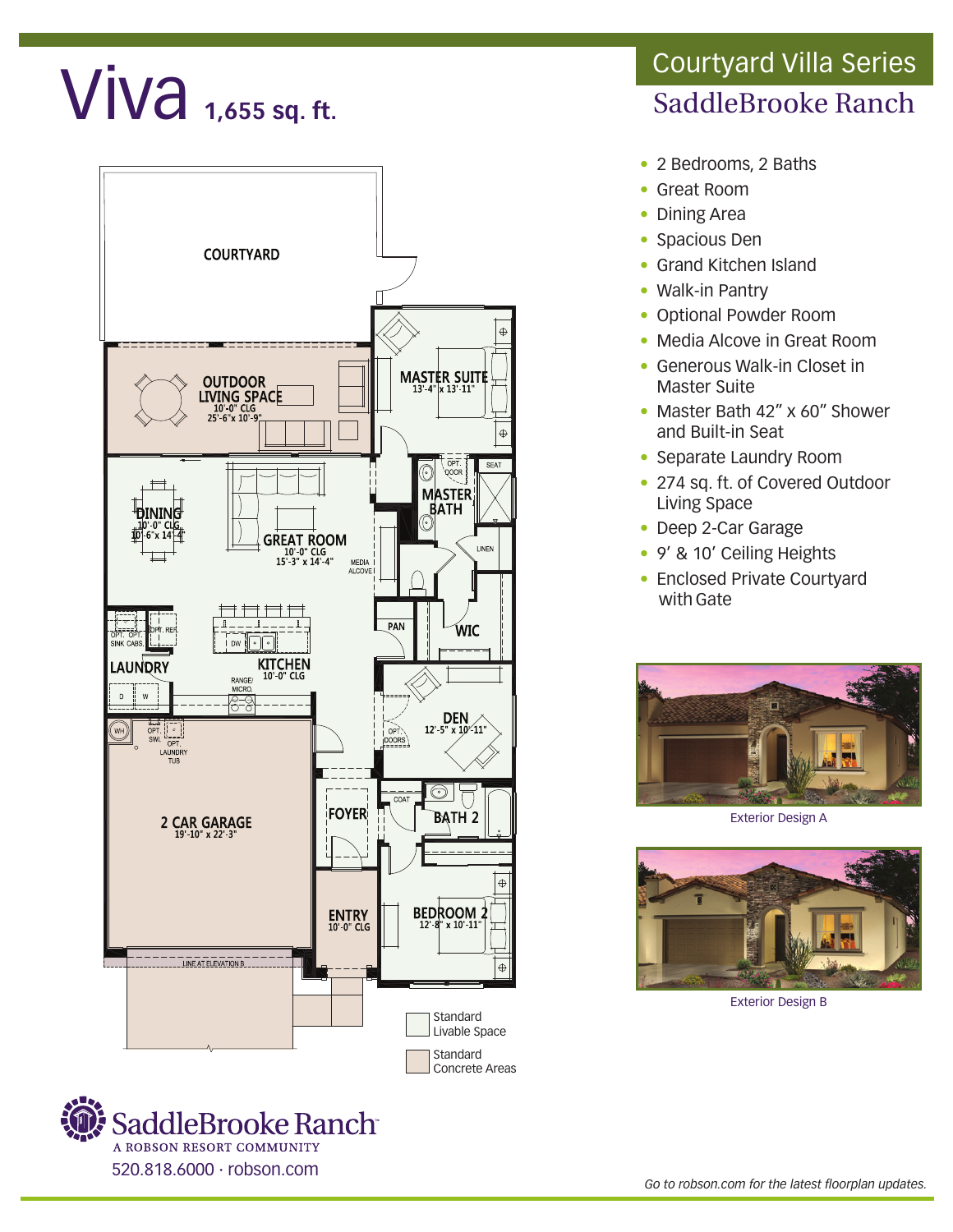## $Viva$  1,655 sq. ft.





## SaddleBrooke Ranch Courtyard Villa Series

- 2 Bedrooms, 2 Baths
- Great Room
- Dining Area
- Spacious Den
- Grand Kitchen Island
- Walk-in Pantry
- Optional Powder Room
- Media Alcove in Great Room
- Generous Walk-in Closet in Master Suite
- Master Bath 42" x 60" Shower and Built-in Seat
- Separate Laundry Room
- 274 sq. ft. of Covered Outdoor Living Space
- Deep 2-Car Garage
- 9' & 10' Ceiling Heights
- Enclosed Private Courtyard with Gate



Exterior Design A



Exterior Design B